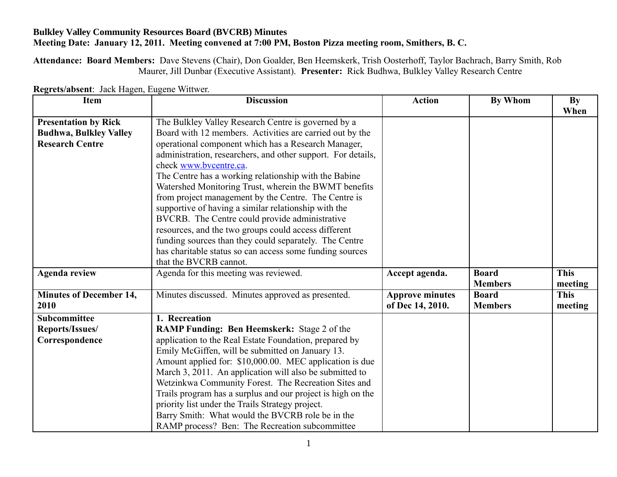## **Bulkley Valley Community Resources Board (BVCRB) Minutes Meeting Date: January 12, 2011. Meeting convened at 7:00 PM, Boston Pizza meeting room, Smithers, B. C.**

**Attendance: Board Members:** Dave Stevens (Chair), Don Goalder, Ben Heemskerk, Trish Oosterhoff, Taylor Bachrach, Barry Smith, Rob Maurer, Jill Dunbar (Executive Assistant). **Presenter:** Rick Budhwa, Bulkley Valley Research Centre

| <b>Item</b>                    | <b>Discussion</b>                                            | <b>Action</b>          | <b>By Whom</b> | <b>By</b>   |
|--------------------------------|--------------------------------------------------------------|------------------------|----------------|-------------|
|                                |                                                              |                        |                | When        |
| <b>Presentation by Rick</b>    | The Bulkley Valley Research Centre is governed by a          |                        |                |             |
| <b>Budhwa, Bulkley Valley</b>  | Board with 12 members. Activities are carried out by the     |                        |                |             |
| <b>Research Centre</b>         | operational component which has a Research Manager,          |                        |                |             |
|                                | administration, researchers, and other support. For details, |                        |                |             |
|                                | check www.bycentre.ca.                                       |                        |                |             |
|                                | The Centre has a working relationship with the Babine        |                        |                |             |
|                                | Watershed Monitoring Trust, wherein the BWMT benefits        |                        |                |             |
|                                | from project management by the Centre. The Centre is         |                        |                |             |
|                                | supportive of having a similar relationship with the         |                        |                |             |
|                                | BVCRB. The Centre could provide administrative               |                        |                |             |
|                                | resources, and the two groups could access different         |                        |                |             |
|                                | funding sources than they could separately. The Centre       |                        |                |             |
|                                | has charitable status so can access some funding sources     |                        |                |             |
|                                | that the BVCRB cannot.                                       |                        |                |             |
| <b>Agenda review</b>           | Agenda for this meeting was reviewed.                        | Accept agenda.         | <b>Board</b>   | <b>This</b> |
|                                |                                                              |                        | <b>Members</b> | meeting     |
| <b>Minutes of December 14,</b> | Minutes discussed. Minutes approved as presented.            | <b>Approve minutes</b> | <b>Board</b>   | <b>This</b> |
| 2010                           |                                                              | of Dec 14, 2010.       | <b>Members</b> | meeting     |
| <b>Subcommittee</b>            | 1. Recreation                                                |                        |                |             |
| Reports/Issues/                | <b>RAMP Funding: Ben Heemskerk: Stage 2 of the</b>           |                        |                |             |
| Correspondence                 | application to the Real Estate Foundation, prepared by       |                        |                |             |
|                                | Emily McGiffen, will be submitted on January 13.             |                        |                |             |
|                                | Amount applied for: \$10,000.00. MEC application is due      |                        |                |             |
|                                | March 3, 2011. An application will also be submitted to      |                        |                |             |
|                                | Wetzinkwa Community Forest. The Recreation Sites and         |                        |                |             |
|                                | Trails program has a surplus and our project is high on the  |                        |                |             |
|                                | priority list under the Trails Strategy project.             |                        |                |             |
|                                | Barry Smith: What would the BVCRB role be in the             |                        |                |             |
|                                | RAMP process? Ben: The Recreation subcommittee               |                        |                |             |

**Regrets/absent**: Jack Hagen, Eugene Wittwer.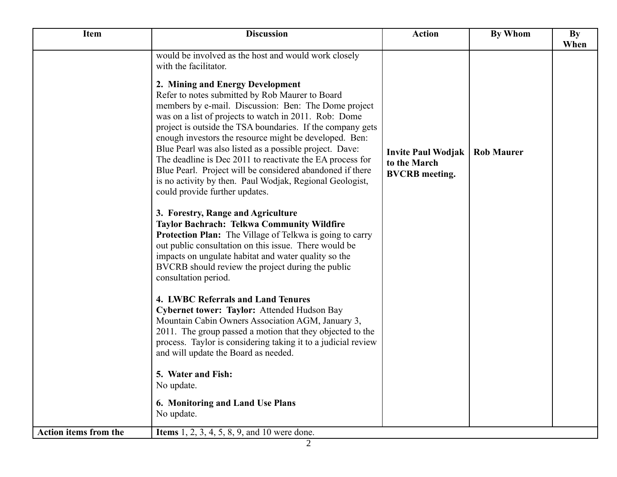| <b>Item</b>                  | <b>Discussion</b>                                                                                                                                                                                                                                                                                                                                                                                                                                                                                                                                                                                               | <b>Action</b>                                                      | <b>By Whom</b>    | By<br>When |
|------------------------------|-----------------------------------------------------------------------------------------------------------------------------------------------------------------------------------------------------------------------------------------------------------------------------------------------------------------------------------------------------------------------------------------------------------------------------------------------------------------------------------------------------------------------------------------------------------------------------------------------------------------|--------------------------------------------------------------------|-------------------|------------|
|                              | would be involved as the host and would work closely<br>with the facilitator.                                                                                                                                                                                                                                                                                                                                                                                                                                                                                                                                   |                                                                    |                   |            |
|                              | 2. Mining and Energy Development<br>Refer to notes submitted by Rob Maurer to Board<br>members by e-mail. Discussion: Ben: The Dome project<br>was on a list of projects to watch in 2011. Rob: Dome<br>project is outside the TSA boundaries. If the company gets<br>enough investors the resource might be developed. Ben:<br>Blue Pearl was also listed as a possible project. Dave:<br>The deadline is Dec 2011 to reactivate the EA process for<br>Blue Pearl. Project will be considered abandoned if there<br>is no activity by then. Paul Wodjak, Regional Geologist,<br>could provide further updates. | <b>Invite Paul Wodjak</b><br>to the March<br><b>BVCRB</b> meeting. | <b>Rob Maurer</b> |            |
|                              | 3. Forestry, Range and Agriculture<br><b>Taylor Bachrach: Telkwa Community Wildfire</b><br><b>Protection Plan:</b> The Village of Telkwa is going to carry<br>out public consultation on this issue. There would be<br>impacts on ungulate habitat and water quality so the<br>BVCRB should review the project during the public<br>consultation period.                                                                                                                                                                                                                                                        |                                                                    |                   |            |
|                              | 4. LWBC Referrals and Land Tenures<br>Cybernet tower: Taylor: Attended Hudson Bay<br>Mountain Cabin Owners Association AGM, January 3,<br>2011. The group passed a motion that they objected to the<br>process. Taylor is considering taking it to a judicial review<br>and will update the Board as needed.                                                                                                                                                                                                                                                                                                    |                                                                    |                   |            |
|                              | 5. Water and Fish:<br>No update.                                                                                                                                                                                                                                                                                                                                                                                                                                                                                                                                                                                |                                                                    |                   |            |
|                              | 6. Monitoring and Land Use Plans<br>No update.                                                                                                                                                                                                                                                                                                                                                                                                                                                                                                                                                                  |                                                                    |                   |            |
| <b>Action items from the</b> | <b>Items</b> 1, 2, 3, 4, 5, 8, 9, and 10 were done.                                                                                                                                                                                                                                                                                                                                                                                                                                                                                                                                                             |                                                                    |                   |            |